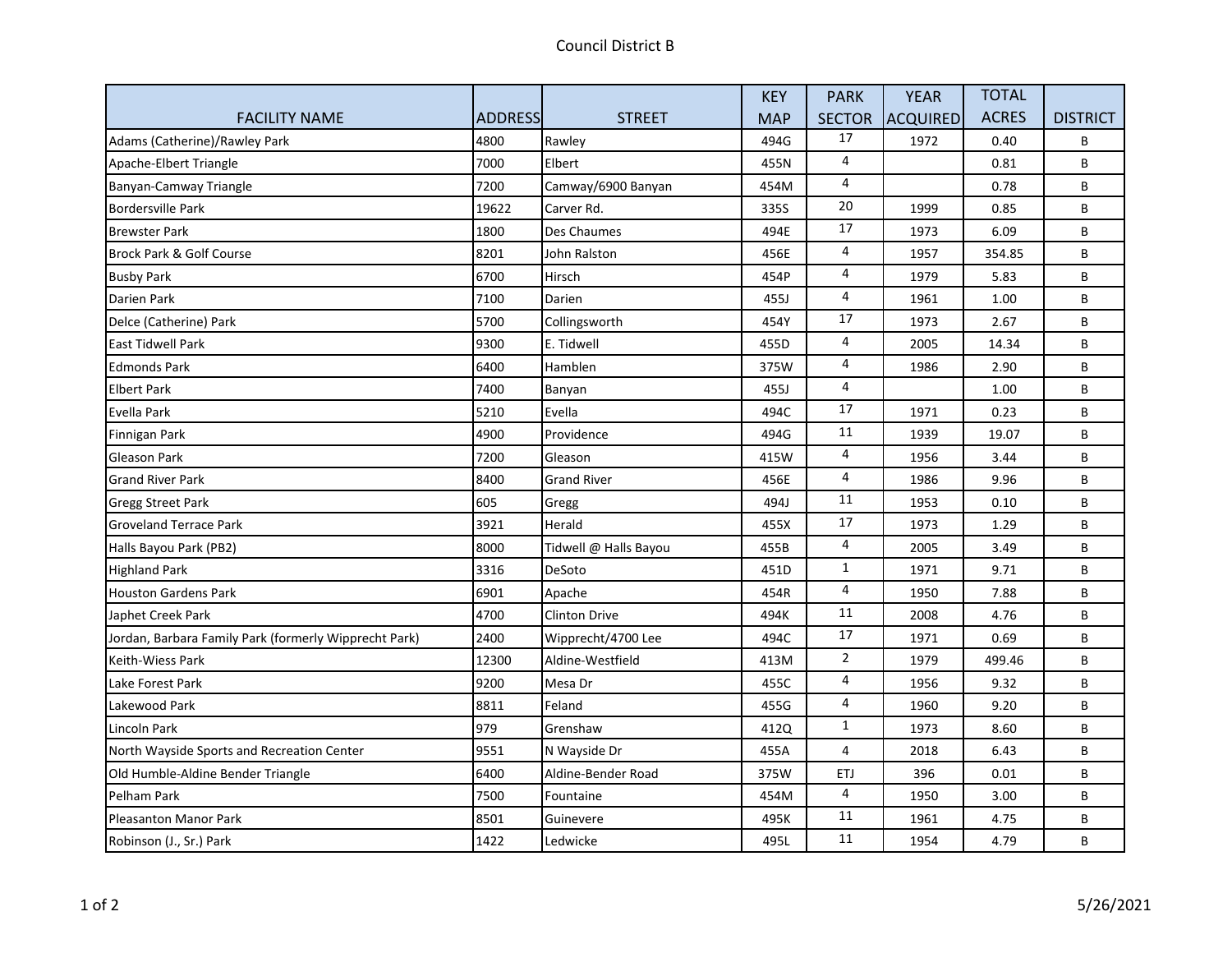|                                                       |         |                       | <b>KEY</b> | <b>PARK</b>             | <b>YEAR</b>     | <b>TOTAL</b> |                 |
|-------------------------------------------------------|---------|-----------------------|------------|-------------------------|-----------------|--------------|-----------------|
| <b>FACILITY NAME</b>                                  | ADDRESS | <b>STREET</b>         | <b>MAP</b> | <b>SECTOR</b>           | <b>ACQUIRED</b> | <b>ACRES</b> | <b>DISTRICT</b> |
| Adams (Catherine)/Rawley Park                         | 4800    | Rawley                | 494G       | 17                      | 1972            | 0.40         | B               |
| Apache-Elbert Triangle                                | 7000    | Elbert                | 455N       | 4                       |                 | 0.81         | B               |
| Banyan-Camway Triangle                                | 7200    | Camway/6900 Banyan    | 454M       | 4                       |                 | 0.78         | B               |
| <b>Bordersville Park</b>                              | 19622   | Carver Rd.            | 335S       | 20                      | 1999            | 0.85         | B               |
| <b>Brewster Park</b>                                  | 1800    | Des Chaumes           | 494E       | 17                      | 1973            | 6.09         | B               |
| Brock Park & Golf Course                              | 8201    | John Ralston          | 456E       | 4                       | 1957            | 354.85       | B               |
| <b>Busby Park</b>                                     | 6700    | Hirsch                | 454P       | 4                       | 1979            | 5.83         | B               |
| Darien Park                                           | 7100    | Darien                | 455J       | 4                       | 1961            | 1.00         | B               |
| Delce (Catherine) Park                                | 5700    | Collingsworth         | 454Y       | 17                      | 1973            | 2.67         | B               |
| <b>East Tidwell Park</b>                              | 9300    | E. Tidwell            | 455D       | 4                       | 2005            | 14.34        | B               |
| <b>Edmonds Park</b>                                   | 6400    | Hamblen               | 375W       | 4                       | 1986            | 2.90         | B               |
| <b>Elbert Park</b>                                    | 7400    | Banyan                | 455J       | 4                       |                 | 1.00         | B               |
| Evella Park                                           | 5210    | Evella                | 494C       | 17                      | 1971            | 0.23         | B               |
| Finnigan Park                                         | 4900    | Providence            | 494G       | 11                      | 1939            | 19.07        | B               |
| <b>Gleason Park</b>                                   | 7200    | Gleason               | 415W       | 4                       | 1956            | 3.44         | B               |
| <b>Grand River Park</b>                               | 8400    | <b>Grand River</b>    | 456E       | 4                       | 1986            | 9.96         | B               |
| <b>Gregg Street Park</b>                              | 605     | Gregg                 | 494J       | $11\,$                  | 1953            | 0.10         | B               |
| <b>Groveland Terrace Park</b>                         | 3921    | Herald                | 455X       | 17                      | 1973            | 1.29         | B               |
| Halls Bayou Park (PB2)                                | 8000    | Tidwell @ Halls Bayou | 455B       | 4                       | 2005            | 3.49         | B               |
| <b>Highland Park</b>                                  | 3316    | DeSoto                | 451D       | $\mathbf{1}$            | 1971            | 9.71         | B               |
| <b>Houston Gardens Park</b>                           | 6901    | Apache                | 454R       | $\overline{4}$          | 1950            | 7.88         | B               |
| Japhet Creek Park                                     | 4700    | <b>Clinton Drive</b>  | 494K       | 11                      | 2008            | 4.76         | B               |
| Jordan, Barbara Family Park (formerly Wipprecht Park) | 2400    | Wipprecht/4700 Lee    | 494C       | 17                      | 1971            | 0.69         | B               |
| <b>Keith-Wiess Park</b>                               | 12300   | Aldine-Westfield      | 413M       | $\overline{2}$          | 1979            | 499.46       | B               |
| Lake Forest Park                                      | 9200    | Mesa Dr               | 455C       | 4                       | 1956            | 9.32         | B               |
| Lakewood Park                                         | 8811    | Feland                | 455G       | $\overline{\mathbf{4}}$ | 1960            | 9.20         | B               |
| Lincoln Park                                          | 979     | Grenshaw              | 412Q       | $\mathbf{1}$            | 1973            | 8.60         | B               |
| North Wayside Sports and Recreation Center            | 9551    | N Wayside Dr          | 455A       | $\overline{4}$          | 2018            | 6.43         | B               |
| Old Humble-Aldine Bender Triangle                     | 6400    | Aldine-Bender Road    | 375W       | <b>ETJ</b>              | 396             | 0.01         | B               |
| Pelham Park                                           | 7500    | Fountaine             | 454M       | 4                       | 1950            | 3.00         | B               |
| <b>Pleasanton Manor Park</b>                          | 8501    | Guinevere             | 495K       | 11                      | 1961            | 4.75         | B               |
| Robinson (J., Sr.) Park                               | 1422    | Ledwicke              | 495L       | 11                      | 1954            | 4.79         | B               |